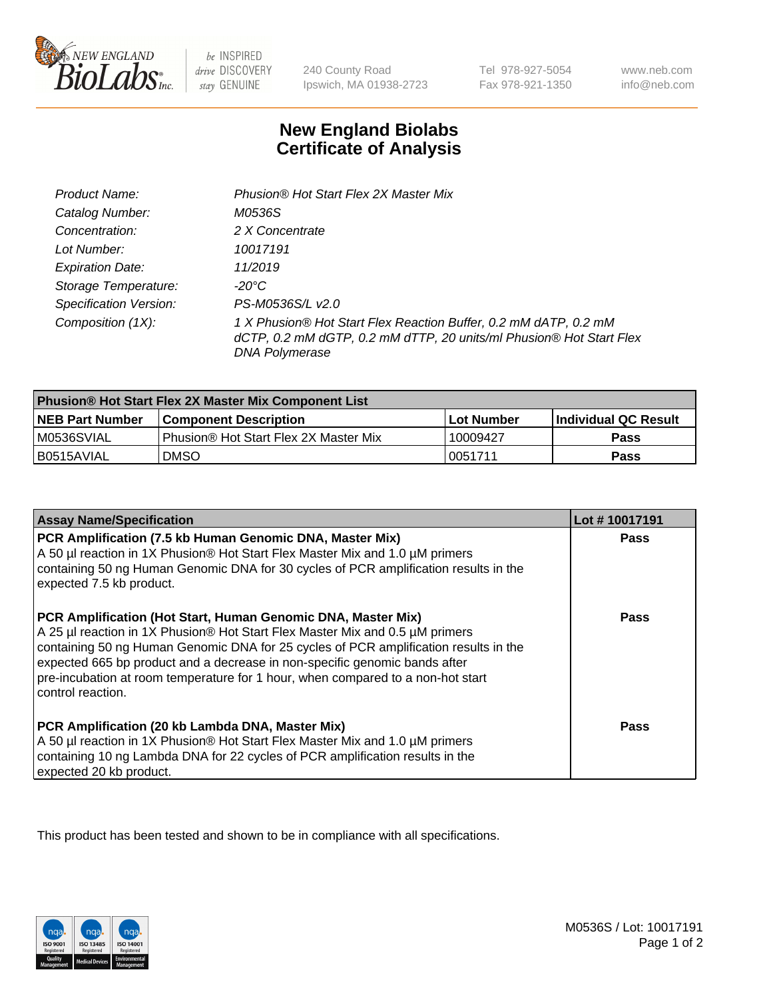

be INSPIRED drive DISCOVERY stay GENUINE

240 County Road Ipswich, MA 01938-2723

Tel 978-927-5054 Fax 978-921-1350

www.neb.com info@neb.com

## **New England Biolabs Certificate of Analysis**

| Product Name:                 | Phusion® Hot Start Flex 2X Master Mix                                                                                                                     |
|-------------------------------|-----------------------------------------------------------------------------------------------------------------------------------------------------------|
| Catalog Number:               | M0536S                                                                                                                                                    |
| Concentration:                | 2 X Concentrate                                                                                                                                           |
| Lot Number:                   | 10017191                                                                                                                                                  |
| <b>Expiration Date:</b>       | 11/2019                                                                                                                                                   |
| Storage Temperature:          | -20°C                                                                                                                                                     |
| <b>Specification Version:</b> | PS-M0536S/L v2.0                                                                                                                                          |
| Composition (1X):             | 1 X Phusion® Hot Start Flex Reaction Buffer, 0.2 mM dATP, 0.2 mM<br>dCTP, 0.2 mM dGTP, 0.2 mM dTTP, 20 units/ml Phusion® Hot Start Flex<br>DNA Polymerase |

| <b>Phusion® Hot Start Flex 2X Master Mix Component List</b> |                                       |              |                       |  |
|-------------------------------------------------------------|---------------------------------------|--------------|-----------------------|--|
| <b>NEB Part Number</b>                                      | <b>Component Description</b>          | l Lot Number | ∣Individual QC Result |  |
| M0536SVIAL                                                  | Phusion® Hot Start Flex 2X Master Mix | 10009427     | Pass                  |  |
| I B0515AVIAL                                                | <b>DMSO</b>                           | 0051711      | <b>Pass</b>           |  |

| <b>Assay Name/Specification</b>                                                                                                                                                                                                                                                                                                                                                                                            | Lot #10017191 |
|----------------------------------------------------------------------------------------------------------------------------------------------------------------------------------------------------------------------------------------------------------------------------------------------------------------------------------------------------------------------------------------------------------------------------|---------------|
| PCR Amplification (7.5 kb Human Genomic DNA, Master Mix)<br>A 50 µl reaction in 1X Phusion® Hot Start Flex Master Mix and 1.0 µM primers<br>containing 50 ng Human Genomic DNA for 30 cycles of PCR amplification results in the<br>expected 7.5 kb product.                                                                                                                                                               | <b>Pass</b>   |
| PCR Amplification (Hot Start, Human Genomic DNA, Master Mix)<br>A 25 µl reaction in 1X Phusion® Hot Start Flex Master Mix and 0.5 µM primers<br>containing 50 ng Human Genomic DNA for 25 cycles of PCR amplification results in the<br>expected 665 bp product and a decrease in non-specific genomic bands after<br>pre-incubation at room temperature for 1 hour, when compared to a non-hot start<br>control reaction. | Pass          |
| PCR Amplification (20 kb Lambda DNA, Master Mix)<br>A 50 µl reaction in 1X Phusion® Hot Start Flex Master Mix and 1.0 µM primers<br>containing 10 ng Lambda DNA for 22 cycles of PCR amplification results in the<br>expected 20 kb product.                                                                                                                                                                               | Pass          |

This product has been tested and shown to be in compliance with all specifications.